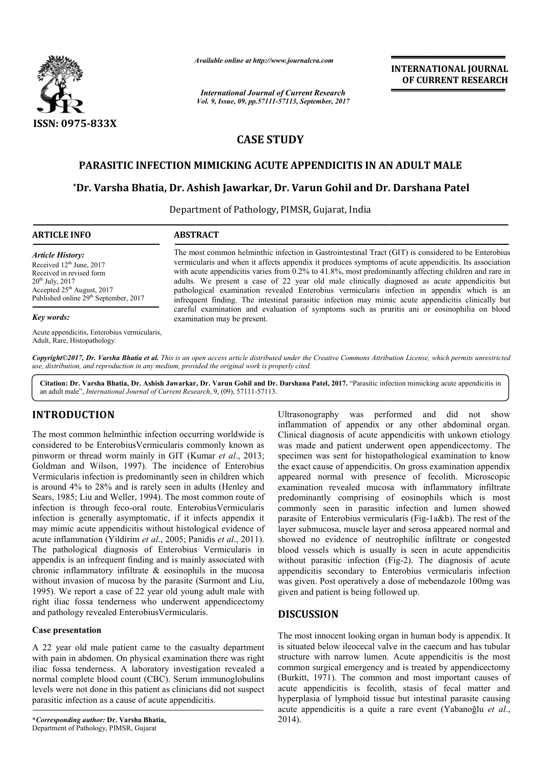

*Available online at http://www.journal http://www.journalcra.com*

*International Journal of Current Research Vol. 9, Issue, 09, pp.57111-57113, September, 2017* **INTERNATIONAL JOURNAL OF CURRENT RESEARCH** 

# **CASE STUDY**

## **PARASITIC INFECTION MIMICKING ACUTE APPENDICITIS IN AN ADULT MALE**

# **\*Dr. Varsha Bhatia, Dr. Ashish Jawarkar, Dr. Varun Gohil and Dr. AN ADULT Darshana Patel**

Department of Pathology, PIMSR, Gujarat, India

| <b>ARTICLE INFO</b>                                                                                                                                                                              | <b>ABSTRACT</b>                                                                                                                                                                                                                                                                                                                                                                                                                                                                                                                                                                                                                                                                                                           |
|--------------------------------------------------------------------------------------------------------------------------------------------------------------------------------------------------|---------------------------------------------------------------------------------------------------------------------------------------------------------------------------------------------------------------------------------------------------------------------------------------------------------------------------------------------------------------------------------------------------------------------------------------------------------------------------------------------------------------------------------------------------------------------------------------------------------------------------------------------------------------------------------------------------------------------------|
| <b>Article History:</b><br>Received $12th$ June, 2017<br>Received in revised form<br>$20^{th}$ July, $2017$<br>Accepted $25th$ August, 2017<br>Published online 29 <sup>th</sup> September, 2017 | The most common helminthic infection in Gastrointestinal Tract (GIT) is considered to be Enterobius<br>vermicularis and when it affects appendix it produces symptoms of acute appendicitis. Its association<br>with acute appendicitis varies from 0.2% to 41.8%, most predominantly affecting children and rare in<br>adults. We present a case of 22 year old male clinically diagnosed as acute appendicitis but<br>pathological examination revealed Enterobius vermicularis infection in appendix which is an<br>infrequent finding. The intestinal parasitic infection may mimic acute appendicitis clinically but<br>careful examination and evaluation of symptoms such as pruritis ani or eosinophilia on blood |
| <b>Key words:</b>                                                                                                                                                                                | examination may be present.                                                                                                                                                                                                                                                                                                                                                                                                                                                                                                                                                                                                                                                                                               |

Acute appendicitis, Enterobius vermicularis, Adult, Rare, Histopathology.

*Copyright©2017, Dr. Varsha Bhatia et al. This is an open access article distributed under the Creative Commons Att Attribution License, which ribution permits unrestricted use, distribution, and reproduction in any medium, provided the original work is properly cited.*

Citation: Dr. Varsha Bhatia, Dr. Ashish Jawarkar, Dr. Varun Gohil and Dr. Darshana Patel, 2017. "Parasitic infection mimicking acute appendicitis in an adult male", *International Journal of Current Research* , 9, (09), 57111-57113.

## **INTRODUCTION**

The most common helminthic infection occurring worldwide is considered to be EnterobiusVermicularis commonly known as pinworm or thread worm mainly in GIT (Kumar *et al.*, 2013; Goldman and Wilson, 1997). The incidence of Enterobius Goldman and Wilson, 1997). The incidence of Enterobius Vermicularis infection is predominantly seen in children which is around 4% to 28% and is rarely seen in adults (Henley and Sears, 1985; Liu and Weller, 1994). The most common route of Sears, 1985; Liu and Weller, 1994). The most common route of infection is through feco-oral route. EnterobiusVermicularis infection is generally asymptomatic, if it infects appendix it may mimic acute appendicitis without histological evidence of acute inflammation (Yildirim *et al*., 2005; Panidis *et al*., 2011). The pathological diagnosis of Enterobius Vermicularis in appendix is an infrequent finding and is mainly associated with chronic inflammatory infiltrate & eosinophils in the mucosa without invasion of mucosa by the parasite (Surmont and Liu, 1995). We report a case of 22 year old young adult male with right iliac fossa tenderness who underwent appendicectomy and pathology revealed EnterobiusVermicularis. d is mainly associated with<br>eosinophils in the mucosa<br>parasite (Surmont and Liu,

#### **Case presentation**

A 22 year old male patient came to the casualty department with pain in abdomen. On physical examination there was right iliac fossa tenderness. A laboratory investigation revealed a normal complete blood count (CBC). Serum immunoglobulins levels were not done in this patient as clinicians did not suspect parasitic infection as a cause of acute appendicitis.

Ultrasonography was performed and did not show produce inflammation of appendix or any other abdominal organ.<br>
Unionly inflammation of appendix or any other abdominal organ.<br>
Unionly Vermicularis commonly known as some an Ultrasonography was performed and did not show inflammation of appendix or any other abdominal organ. Clinical diagnosis of acute appendicitis with unkown etiology was made and patient underwent open appendicectomy. The specimen was sent for histopathological examination to know the exact cause of appendicitis. On gross examination appendix the exact cause of appendicitis. On gross examination appendix<br>appeared normal with presence of fecolith. Microscopic examination revealed mucosa with inflammatory infiltrate predominantly comprising of eosinophils which is most commonly seen in parasitic infection and lumen showed commonly seen in parasitic infection and lumen showed parasite of Enterobius vermicularis (Fig-1a&b). The rest of the layer submucosa, muscle layer and serosa appeared normal and showed no evidence of neutrophilic infiltrate or congested blood vessels which is usually is seen in acute appendici without parasitic infection (Fig-2). The diagnosis of acute appendicitis secondary to Enterobius vermicularis infection was given. Post operatively a dose of mebendazole 100mg was given and patient is being followed up. layer submucosa, muscle layer and serosa appeared normal and showed no evidence of neutrophilic infiltrate or congested blood vessels which is usually is seen in acute appendicitis

## **DISCUSSION**

The most innocent looking organ in human body is appendix. It is situated below ileocecal valve in the caecum and has tubular structure with narrow lumen. Acute appendicitis is the most common surgical emergency and is treated by appendic (Burkitt, 1971). The common and most important causes of acute appendicitis is fecolith, stasis of fecal matter and hyperplasia of lymphoid tissue but intestinal parasite causing acute appendicitis is a quite a rare event (Yabanoğlu et al., 2014). The most innocent looking organ in human body is appendix. It is situated below ileocecal valve in the caecum and has tubular structure with narrow lumen. Acute appendicitis is the most common surgical emergency and is tre It, 1971). The common and most important causes of appendicitis is fecolith, stasis of fecal matter and plasia of lymphoid tissue but intestinal parasite causing appendicitis is a quite a rare event (Yabanoğlu *et al.*,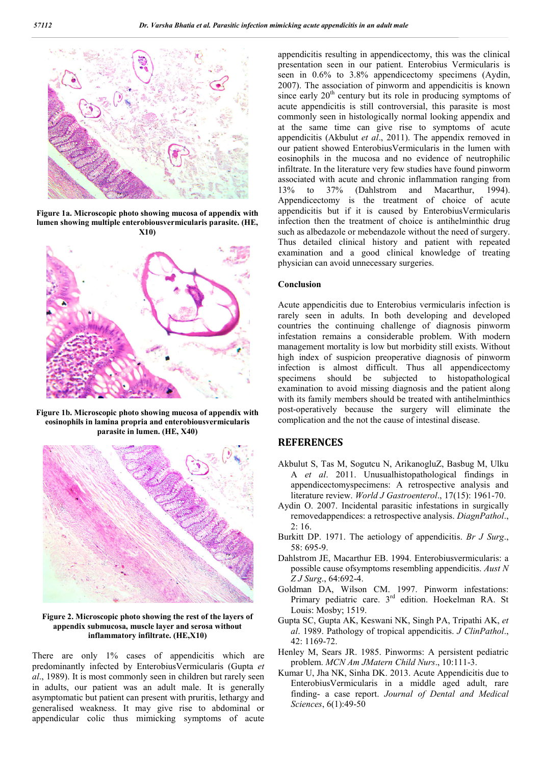

**Figure 1a. Microscopic photo showing mucosa of appendix with lumen showing multiple enterobiousvermicularis parasite. (HE, X10)**



**Figure 1b. Microscopic photo showing mucosa of appendix with eosinophils in lamina propria and enterobiousvermicularis parasite in lumen. (HE, X40)**



#### **Figure 2. Microscopic photo showing the rest of the layers of appendix submucosa, muscle layer and serosa without inflammatory infiltrate. (HE,X10)**

There are only 1% cases of appendicitis which are predominantly infected by EnterobiusVermicularis (Gupta *et al*., 1989). It is most commonly seen in children but rarely seen in adults, our patient was an adult male. It is generally asymptomatic but patient can present with pruritis, lethargy and generalised weakness. It may give rise to abdominal or appendicular colic thus mimicking symptoms of acute appendicitis resulting in appendicectomy, this was the clinical presentation seen in our patient. Enterobius Vermicularis is seen in 0.6% to 3.8% appendicectomy specimens (Aydin, 2007). The association of pinworm and appendicitis is known since early  $20<sup>th</sup>$  century but its role in producing symptoms of acute appendicitis is still controversial, this parasite is most commonly seen in histologically normal looking appendix and at the same time can give rise to symptoms of acute appendicitis (Akbulut *et al*., 2011). The appendix removed in our patient showed EnterobiusVermicularis in the lumen with eosinophils in the mucosa and no evidence of neutrophilic infiltrate. In the literature very few studies have found pinworm associated with acute and chronic inflammation ranging from 13% to 37% (Dahlstrom and Macarthur, 1994). Appendicectomy is the treatment of choice of acute appendicitis but if it is caused by EnterobiusVermicularis infection then the treatment of choice is antihelminthic drug such as albedazole or mebendazole without the need of surgery. Thus detailed clinical history and patient with repeated examination and a good clinical knowledge of treating physician can avoid unnecessary surgeries.

#### **Conclusion**

Acute appendicitis due to Enterobius vermicularis infection is rarely seen in adults. In both developing and developed countries the continuing challenge of diagnosis pinworm infestation remains a considerable problem. With modern management mortality is low but morbidity still exists. Without high index of suspicion preoperative diagnosis of pinworm infection is almost difficult. Thus all appendicectomy specimens should be subjected to histopathological examination to avoid missing diagnosis and the patient along with its family members should be treated with antihelminthics post-operatively because the surgery will eliminate the complication and the not the cause of intestinal disease.

### **REFERENCES**

- Akbulut S, Tas M, Sogutcu N, ArikanogluZ, Basbug M, Ulku A *et al*. 2011. Unusualhistopathological findings in appendicectomyspecimens: A retrospective analysis and literature review. *World J Gastroenterol*., 17(15): 1961-70.
- Aydin O. 2007. Incidental parasitic infestations in surgically removedappendices: a retrospective analysis. *DiagnPathol*., 2: 16.
- Burkitt DP. 1971. The aetiology of appendicitis. *Br J Surg*., 58: 695-9.
- Dahlstrom JE, Macarthur EB. 1994. Enterobiusvermicularis: a possible cause ofsymptoms resembling appendicitis. *Aust N Z J Surg*., 64:692-4.
- Goldman DA, Wilson CM. 1997. Pinworm infestations: Primary pediatric care. 3<sup>rd</sup> edition. Hoekelman RA. St Louis: Mosby; 1519.
- Gupta SC, Gupta AK, Keswani NK, Singh PA, Tripathi AK, *et al*. 1989. Pathology of tropical appendicitis. *J ClinPathol*., 42: 1169-72.
- Henley M, Sears JR. 1985. Pinworms: A persistent pediatric problem. *MCN Am JMatern Child Nurs*., 10:111-3.
- Kumar U, Jha NK, Sinha DK. 2013. Acute Appendicitis due to EnterobiusVermicularis in a middle aged adult, rare finding- a case report. *Journal of Dental and Medical Sciences*, 6(1):49-50